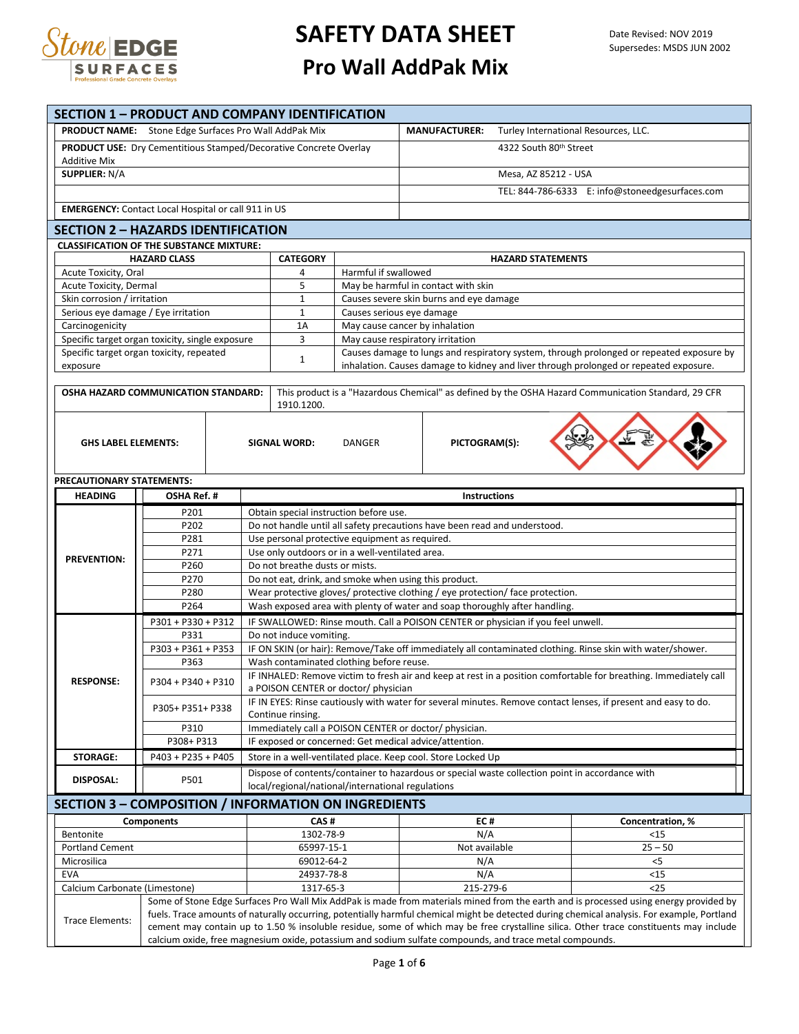

|                                                                                                                                             | <b>SECTION 1 - PRODUCT AND COMPANY IDENTIFICATION</b>      |  |                                                                                                                                                               |                                                                                          |                                                                                                                                                                                                                                                  |  |  |  |
|---------------------------------------------------------------------------------------------------------------------------------------------|------------------------------------------------------------|--|---------------------------------------------------------------------------------------------------------------------------------------------------------------|------------------------------------------------------------------------------------------|--------------------------------------------------------------------------------------------------------------------------------------------------------------------------------------------------------------------------------------------------|--|--|--|
| PRODUCT NAME: Stone Edge Surfaces Pro Wall AddPak Mix                                                                                       |                                                            |  |                                                                                                                                                               | Turley International Resources, LLC.<br><b>MANUFACTURER:</b>                             |                                                                                                                                                                                                                                                  |  |  |  |
| <b>PRODUCT USE:</b> Dry Cementitious Stamped/Decorative Concrete Overlay                                                                    |                                                            |  |                                                                                                                                                               |                                                                                          | 4322 South 80th Street                                                                                                                                                                                                                           |  |  |  |
| <b>Additive Mix</b>                                                                                                                         |                                                            |  |                                                                                                                                                               |                                                                                          |                                                                                                                                                                                                                                                  |  |  |  |
| <b>SUPPLIER: N/A</b>                                                                                                                        |                                                            |  |                                                                                                                                                               |                                                                                          | Mesa, AZ 85212 - USA                                                                                                                                                                                                                             |  |  |  |
|                                                                                                                                             |                                                            |  |                                                                                                                                                               | TEL: 844-786-6333 E: info@stoneedgesurfaces.com                                          |                                                                                                                                                                                                                                                  |  |  |  |
|                                                                                                                                             |                                                            |  |                                                                                                                                                               |                                                                                          |                                                                                                                                                                                                                                                  |  |  |  |
|                                                                                                                                             | <b>EMERGENCY:</b> Contact Local Hospital or call 911 in US |  |                                                                                                                                                               |                                                                                          |                                                                                                                                                                                                                                                  |  |  |  |
|                                                                                                                                             | <b>SECTION 2 - HAZARDS IDENTIFICATION</b>                  |  |                                                                                                                                                               |                                                                                          |                                                                                                                                                                                                                                                  |  |  |  |
|                                                                                                                                             | <b>CLASSIFICATION OF THE SUBSTANCE MIXTURE:</b>            |  |                                                                                                                                                               |                                                                                          | <b>HAZARD STATEMENTS</b>                                                                                                                                                                                                                         |  |  |  |
| <b>HAZARD CLASS</b><br>Acute Toxicity, Oral                                                                                                 |                                                            |  | <b>CATEGORY</b><br>Harmful if swallowed<br>4                                                                                                                  |                                                                                          |                                                                                                                                                                                                                                                  |  |  |  |
| Acute Toxicity, Dermal                                                                                                                      |                                                            |  |                                                                                                                                                               | 5<br>May be harmful in contact with skin                                                 |                                                                                                                                                                                                                                                  |  |  |  |
| Skin corrosion / irritation                                                                                                                 |                                                            |  | $\mathbf{1}$                                                                                                                                                  | Causes severe skin burns and eye damage                                                  |                                                                                                                                                                                                                                                  |  |  |  |
| Serious eye damage / Eye irritation                                                                                                         |                                                            |  | $\mathbf{1}$                                                                                                                                                  | Causes serious eye damage                                                                |                                                                                                                                                                                                                                                  |  |  |  |
| Carcinogenicity                                                                                                                             |                                                            |  | 1A                                                                                                                                                            | May cause cancer by inhalation                                                           |                                                                                                                                                                                                                                                  |  |  |  |
|                                                                                                                                             | Specific target organ toxicity, single exposure            |  | 3                                                                                                                                                             | May cause respiratory irritation                                                         |                                                                                                                                                                                                                                                  |  |  |  |
|                                                                                                                                             | Specific target organ toxicity, repeated                   |  | $\mathbf{1}$                                                                                                                                                  | Causes damage to lungs and respiratory system, through prolonged or repeated exposure by |                                                                                                                                                                                                                                                  |  |  |  |
| exposure                                                                                                                                    |                                                            |  |                                                                                                                                                               |                                                                                          | inhalation. Causes damage to kidney and liver through prolonged or repeated exposure.                                                                                                                                                            |  |  |  |
|                                                                                                                                             | OSHA HAZARD COMMUNICATION STANDARD:                        |  |                                                                                                                                                               |                                                                                          | This product is a "Hazardous Chemical" as defined by the OSHA Hazard Communication Standard, 29 CFR                                                                                                                                              |  |  |  |
|                                                                                                                                             |                                                            |  | 1910.1200.                                                                                                                                                    |                                                                                          |                                                                                                                                                                                                                                                  |  |  |  |
|                                                                                                                                             |                                                            |  |                                                                                                                                                               |                                                                                          |                                                                                                                                                                                                                                                  |  |  |  |
|                                                                                                                                             |                                                            |  |                                                                                                                                                               |                                                                                          |                                                                                                                                                                                                                                                  |  |  |  |
| <b>GHS LABEL ELEMENTS:</b>                                                                                                                  |                                                            |  | SIGNAL WORD:                                                                                                                                                  | <b>DANGER</b>                                                                            | PICTOGRAM(S):                                                                                                                                                                                                                                    |  |  |  |
|                                                                                                                                             |                                                            |  |                                                                                                                                                               |                                                                                          |                                                                                                                                                                                                                                                  |  |  |  |
| PRECAUTIONARY STATEMENTS:                                                                                                                   |                                                            |  |                                                                                                                                                               |                                                                                          |                                                                                                                                                                                                                                                  |  |  |  |
| <b>HEADING</b>                                                                                                                              | OSHA Ref. #                                                |  |                                                                                                                                                               |                                                                                          | <b>Instructions</b>                                                                                                                                                                                                                              |  |  |  |
|                                                                                                                                             | P201                                                       |  | Obtain special instruction before use.                                                                                                                        |                                                                                          |                                                                                                                                                                                                                                                  |  |  |  |
|                                                                                                                                             | P202                                                       |  | Do not handle until all safety precautions have been read and understood.                                                                                     |                                                                                          |                                                                                                                                                                                                                                                  |  |  |  |
|                                                                                                                                             | P281                                                       |  | Use personal protective equipment as required.                                                                                                                |                                                                                          |                                                                                                                                                                                                                                                  |  |  |  |
| <b>PREVENTION:</b>                                                                                                                          | P271<br>P260                                               |  | Use only outdoors or in a well-ventilated area.<br>Do not breathe dusts or mists.                                                                             |                                                                                          |                                                                                                                                                                                                                                                  |  |  |  |
|                                                                                                                                             | P270                                                       |  | Do not eat, drink, and smoke when using this product.                                                                                                         |                                                                                          |                                                                                                                                                                                                                                                  |  |  |  |
|                                                                                                                                             | P280                                                       |  | Wear protective gloves/ protective clothing / eye protection/ face protection.                                                                                |                                                                                          |                                                                                                                                                                                                                                                  |  |  |  |
|                                                                                                                                             | P264                                                       |  |                                                                                                                                                               |                                                                                          | Wash exposed area with plenty of water and soap thoroughly after handling.                                                                                                                                                                       |  |  |  |
|                                                                                                                                             | $P301 + P330 + P312$                                       |  | IF SWALLOWED: Rinse mouth. Call a POISON CENTER or physician if you feel unwell.                                                                              |                                                                                          |                                                                                                                                                                                                                                                  |  |  |  |
|                                                                                                                                             | P331                                                       |  | Do not induce vomiting.                                                                                                                                       |                                                                                          |                                                                                                                                                                                                                                                  |  |  |  |
|                                                                                                                                             | P303 + P361 + P353                                         |  | IF ON SKIN (or hair): Remove/Take off immediately all contaminated clothing. Rinse skin with water/shower.                                                    |                                                                                          |                                                                                                                                                                                                                                                  |  |  |  |
|                                                                                                                                             | P363                                                       |  | Wash contaminated clothing before reuse.<br>IF INHALED: Remove victim to fresh air and keep at rest in a position comfortable for breathing. Immediately call |                                                                                          |                                                                                                                                                                                                                                                  |  |  |  |
| P304 + P340 + P310<br><b>RESPONSE:</b>                                                                                                      |                                                            |  | a POISON CENTER or doctor/ physician                                                                                                                          |                                                                                          |                                                                                                                                                                                                                                                  |  |  |  |
|                                                                                                                                             |                                                            |  | IF IN EYES: Rinse cautiously with water for several minutes. Remove contact lenses, if present and easy to do.                                                |                                                                                          |                                                                                                                                                                                                                                                  |  |  |  |
|                                                                                                                                             | P305+ P351+ P338                                           |  | Continue rinsing.                                                                                                                                             |                                                                                          |                                                                                                                                                                                                                                                  |  |  |  |
|                                                                                                                                             | P310                                                       |  | Immediately call a POISON CENTER or doctor/ physician.                                                                                                        |                                                                                          |                                                                                                                                                                                                                                                  |  |  |  |
|                                                                                                                                             | P308+ P313                                                 |  | IF exposed or concerned: Get medical advice/attention.                                                                                                        |                                                                                          |                                                                                                                                                                                                                                                  |  |  |  |
| <b>STORAGE:</b>                                                                                                                             | P403 + P235 + P405                                         |  |                                                                                                                                                               |                                                                                          | Store in a well-ventilated place. Keep cool. Store Locked Up                                                                                                                                                                                     |  |  |  |
| <b>DISPOSAL:</b>                                                                                                                            | P501                                                       |  |                                                                                                                                                               |                                                                                          | Dispose of contents/container to hazardous or special waste collection point in accordance with                                                                                                                                                  |  |  |  |
|                                                                                                                                             |                                                            |  | local/regional/national/international regulations                                                                                                             |                                                                                          |                                                                                                                                                                                                                                                  |  |  |  |
|                                                                                                                                             | SECTION 3 - COMPOSITION / INFORMATION ON INGREDIENTS       |  |                                                                                                                                                               |                                                                                          |                                                                                                                                                                                                                                                  |  |  |  |
|                                                                                                                                             | Components                                                 |  | CAS#                                                                                                                                                          |                                                                                          | EC#<br>Concentration, %                                                                                                                                                                                                                          |  |  |  |
| Bentonite                                                                                                                                   |                                                            |  | 1302-78-9                                                                                                                                                     |                                                                                          | N/A<br><15                                                                                                                                                                                                                                       |  |  |  |
| <b>Portland Cement</b><br>Microsilica                                                                                                       |                                                            |  | 65997-15-1<br>69012-64-2                                                                                                                                      |                                                                                          | $25 - 50$<br>Not available<br>N/A<br>$<$ 5                                                                                                                                                                                                       |  |  |  |
| <b>EVA</b>                                                                                                                                  |                                                            |  | 24937-78-8                                                                                                                                                    |                                                                                          | N/A<br><15                                                                                                                                                                                                                                       |  |  |  |
| Calcium Carbonate (Limestone)                                                                                                               |                                                            |  | 1317-65-3                                                                                                                                                     |                                                                                          | 215-279-6<br>$25$                                                                                                                                                                                                                                |  |  |  |
|                                                                                                                                             |                                                            |  |                                                                                                                                                               |                                                                                          | Some of Stone Edge Surfaces Pro Wall Mix AddPak is made from materials mined from the earth and is processed using energy provided by                                                                                                            |  |  |  |
| fuels. Trace amounts of naturally occurring, potentially harmful chemical might be detected during chemical analysis. For example, Portland |                                                            |  |                                                                                                                                                               |                                                                                          |                                                                                                                                                                                                                                                  |  |  |  |
|                                                                                                                                             |                                                            |  |                                                                                                                                                               |                                                                                          |                                                                                                                                                                                                                                                  |  |  |  |
| Trace Elements:                                                                                                                             |                                                            |  |                                                                                                                                                               |                                                                                          | cement may contain up to 1.50 % insoluble residue, some of which may be free crystalline silica. Other trace constituents may include<br>calcium oxide, free magnesium oxide, potassium and sodium sulfate compounds, and trace metal compounds. |  |  |  |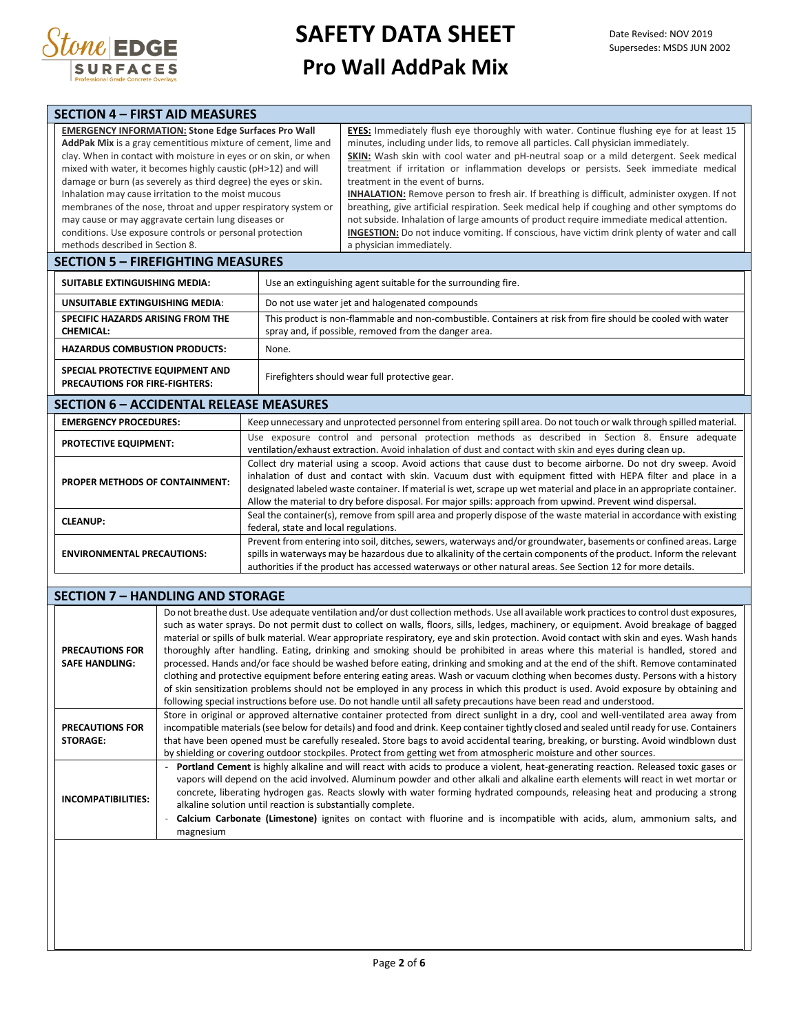

| <b>SECTION 4 - FIRST AID MEASURES</b>                                                                                                                                                                                                                                                                                                                                                                                                                                                                                                                                                                          |                                       |                                                                                                                                                                                                                                                                                                                                                                                                                                                                                                                                                                                                                                                                                                                                                                                                                            |  |  |  |
|----------------------------------------------------------------------------------------------------------------------------------------------------------------------------------------------------------------------------------------------------------------------------------------------------------------------------------------------------------------------------------------------------------------------------------------------------------------------------------------------------------------------------------------------------------------------------------------------------------------|---------------------------------------|----------------------------------------------------------------------------------------------------------------------------------------------------------------------------------------------------------------------------------------------------------------------------------------------------------------------------------------------------------------------------------------------------------------------------------------------------------------------------------------------------------------------------------------------------------------------------------------------------------------------------------------------------------------------------------------------------------------------------------------------------------------------------------------------------------------------------|--|--|--|
| <b>EMERGENCY INFORMATION: Stone Edge Surfaces Pro Wall</b><br>AddPak Mix is a gray cementitious mixture of cement, lime and<br>clay. When in contact with moisture in eyes or on skin, or when<br>mixed with water, it becomes highly caustic (pH>12) and will<br>damage or burn (as severely as third degree) the eyes or skin.<br>Inhalation may cause irritation to the moist mucous<br>membranes of the nose, throat and upper respiratory system or<br>may cause or may aggravate certain lung diseases or<br>conditions. Use exposure controls or personal protection<br>methods described in Section 8. |                                       | EYES: Immediately flush eye thoroughly with water. Continue flushing eye for at least 15<br>minutes, including under lids, to remove all particles. Call physician immediately.<br>SKIN: Wash skin with cool water and pH-neutral soap or a mild detergent. Seek medical<br>treatment if irritation or inflammation develops or persists. Seek immediate medical<br>treatment in the event of burns.<br>INHALATION: Remove person to fresh air. If breathing is difficult, administer oxygen. If not<br>breathing, give artificial respiration. Seek medical help if coughing and other symptoms do<br>not subside. Inhalation of large amounts of product require immediate medical attention.<br>INGESTION: Do not induce vomiting. If conscious, have victim drink plenty of water and call<br>a physician immediately. |  |  |  |
| <b>SECTION 5 - FIREFIGHTING MEASURES</b>                                                                                                                                                                                                                                                                                                                                                                                                                                                                                                                                                                       |                                       |                                                                                                                                                                                                                                                                                                                                                                                                                                                                                                                                                                                                                                                                                                                                                                                                                            |  |  |  |
| <b>SUITABLE EXTINGUISHING MEDIA:</b>                                                                                                                                                                                                                                                                                                                                                                                                                                                                                                                                                                           |                                       | Use an extinguishing agent suitable for the surrounding fire.                                                                                                                                                                                                                                                                                                                                                                                                                                                                                                                                                                                                                                                                                                                                                              |  |  |  |
| <b>UNSUITABLE EXTINGUISHING MEDIA:</b>                                                                                                                                                                                                                                                                                                                                                                                                                                                                                                                                                                         |                                       | Do not use water jet and halogenated compounds                                                                                                                                                                                                                                                                                                                                                                                                                                                                                                                                                                                                                                                                                                                                                                             |  |  |  |
| SPECIFIC HAZARDS ARISING FROM THE<br><b>CHEMICAL:</b>                                                                                                                                                                                                                                                                                                                                                                                                                                                                                                                                                          |                                       | This product is non-flammable and non-combustible. Containers at risk from fire should be cooled with water<br>spray and, if possible, removed from the danger area.                                                                                                                                                                                                                                                                                                                                                                                                                                                                                                                                                                                                                                                       |  |  |  |
| <b>HAZARDUS COMBUSTION PRODUCTS:</b><br>None.                                                                                                                                                                                                                                                                                                                                                                                                                                                                                                                                                                  |                                       |                                                                                                                                                                                                                                                                                                                                                                                                                                                                                                                                                                                                                                                                                                                                                                                                                            |  |  |  |
| SPECIAL PROTECTIVE EQUIPMENT AND<br><b>PRECAUTIONS FOR FIRE-FIGHTERS:</b>                                                                                                                                                                                                                                                                                                                                                                                                                                                                                                                                      |                                       | Firefighters should wear full protective gear.                                                                                                                                                                                                                                                                                                                                                                                                                                                                                                                                                                                                                                                                                                                                                                             |  |  |  |
| <b>SECTION 6 - ACCIDENTAL RELEASE MEASURES</b>                                                                                                                                                                                                                                                                                                                                                                                                                                                                                                                                                                 |                                       |                                                                                                                                                                                                                                                                                                                                                                                                                                                                                                                                                                                                                                                                                                                                                                                                                            |  |  |  |
| <b>EMERGENCY PROCEDURES:</b>                                                                                                                                                                                                                                                                                                                                                                                                                                                                                                                                                                                   |                                       | Keep unnecessary and unprotected personnel from entering spill area. Do not touch or walk through spilled material.                                                                                                                                                                                                                                                                                                                                                                                                                                                                                                                                                                                                                                                                                                        |  |  |  |
| PROTECTIVE EQUIPMENT:                                                                                                                                                                                                                                                                                                                                                                                                                                                                                                                                                                                          |                                       | Use exposure control and personal protection methods as described in Section 8. Ensure adequate<br>ventilation/exhaust extraction. Avoid inhalation of dust and contact with skin and eyes during clean up.                                                                                                                                                                                                                                                                                                                                                                                                                                                                                                                                                                                                                |  |  |  |
| PROPER METHODS OF CONTAINMENT:                                                                                                                                                                                                                                                                                                                                                                                                                                                                                                                                                                                 |                                       | Collect dry material using a scoop. Avoid actions that cause dust to become airborne. Do not dry sweep. Avoid<br>inhalation of dust and contact with skin. Vacuum dust with equipment fitted with HEPA filter and place in a<br>designated labeled waste container. If material is wet, scrape up wet material and place in an appropriate container.<br>Allow the material to dry before disposal. For major spills: approach from upwind. Prevent wind dispersal.                                                                                                                                                                                                                                                                                                                                                        |  |  |  |
| <b>CLEANUP:</b>                                                                                                                                                                                                                                                                                                                                                                                                                                                                                                                                                                                                | federal, state and local regulations. | Seal the container(s), remove from spill area and properly dispose of the waste material in accordance with existing                                                                                                                                                                                                                                                                                                                                                                                                                                                                                                                                                                                                                                                                                                       |  |  |  |
| <b>ENVIRONMENTAL PRECAUTIONS:</b>                                                                                                                                                                                                                                                                                                                                                                                                                                                                                                                                                                              |                                       | Prevent from entering into soil, ditches, sewers, waterways and/or groundwater, basements or confined areas. Large<br>spills in waterways may be hazardous due to alkalinity of the certain components of the product. Inform the relevant<br>authorities if the product has accessed waterways or other natural areas. See Section 12 for more details.                                                                                                                                                                                                                                                                                                                                                                                                                                                                   |  |  |  |

|                                                 | <b>SECTION 7 - HANDLING AND STORAGE</b>                                                                                                                                                                                                                                                                                                                                                                                                                                                                                                                                                                                                                                                                                                                                                                                                                                                                                                                                                                                                                                                                        |
|-------------------------------------------------|----------------------------------------------------------------------------------------------------------------------------------------------------------------------------------------------------------------------------------------------------------------------------------------------------------------------------------------------------------------------------------------------------------------------------------------------------------------------------------------------------------------------------------------------------------------------------------------------------------------------------------------------------------------------------------------------------------------------------------------------------------------------------------------------------------------------------------------------------------------------------------------------------------------------------------------------------------------------------------------------------------------------------------------------------------------------------------------------------------------|
| <b>PRECAUTIONS FOR</b><br><b>SAFE HANDLING:</b> | Do not breathe dust. Use adequate ventilation and/or dust collection methods. Use all available work practices to control dust exposures,<br>such as water sprays. Do not permit dust to collect on walls, floors, sills, ledges, machinery, or equipment. Avoid breakage of bagged<br>material or spills of bulk material. Wear appropriate respiratory, eye and skin protection. Avoid contact with skin and eyes. Wash hands<br>thoroughly after handling. Eating, drinking and smoking should be prohibited in areas where this material is handled, stored and<br>processed. Hands and/or face should be washed before eating, drinking and smoking and at the end of the shift. Remove contaminated<br>clothing and protective equipment before entering eating areas. Wash or vacuum clothing when becomes dusty. Persons with a history<br>of skin sensitization problems should not be employed in any process in which this product is used. Avoid exposure by obtaining and<br>following special instructions before use. Do not handle until all safety precautions have been read and understood. |
| <b>PRECAUTIONS FOR</b><br><b>STORAGE:</b>       | Store in original or approved alternative container protected from direct sunlight in a dry, cool and well-ventilated area away from<br>incompatible materials (see below for details) and food and drink. Keep container tightly closed and sealed until ready for use. Containers<br>that have been opened must be carefully resealed. Store bags to avoid accidental tearing, breaking, or bursting. Avoid windblown dust<br>by shielding or covering outdoor stockpiles. Protect from getting wet from atmospheric moisture and other sources.                                                                                                                                                                                                                                                                                                                                                                                                                                                                                                                                                             |
| <b>INCOMPATIBILITIES:</b>                       | Portland Cement is highly alkaline and will react with acids to produce a violent, heat-generating reaction. Released toxic gases or<br>vapors will depend on the acid involved. Aluminum powder and other alkali and alkaline earth elements will react in wet mortar or<br>concrete, liberating hydrogen gas. Reacts slowly with water forming hydrated compounds, releasing heat and producing a strong<br>alkaline solution until reaction is substantially complete.<br>Calcium Carbonate (Limestone) ignites on contact with fluorine and is incompatible with acids, alum, ammonium salts, and<br>magnesium                                                                                                                                                                                                                                                                                                                                                                                                                                                                                             |
|                                                 |                                                                                                                                                                                                                                                                                                                                                                                                                                                                                                                                                                                                                                                                                                                                                                                                                                                                                                                                                                                                                                                                                                                |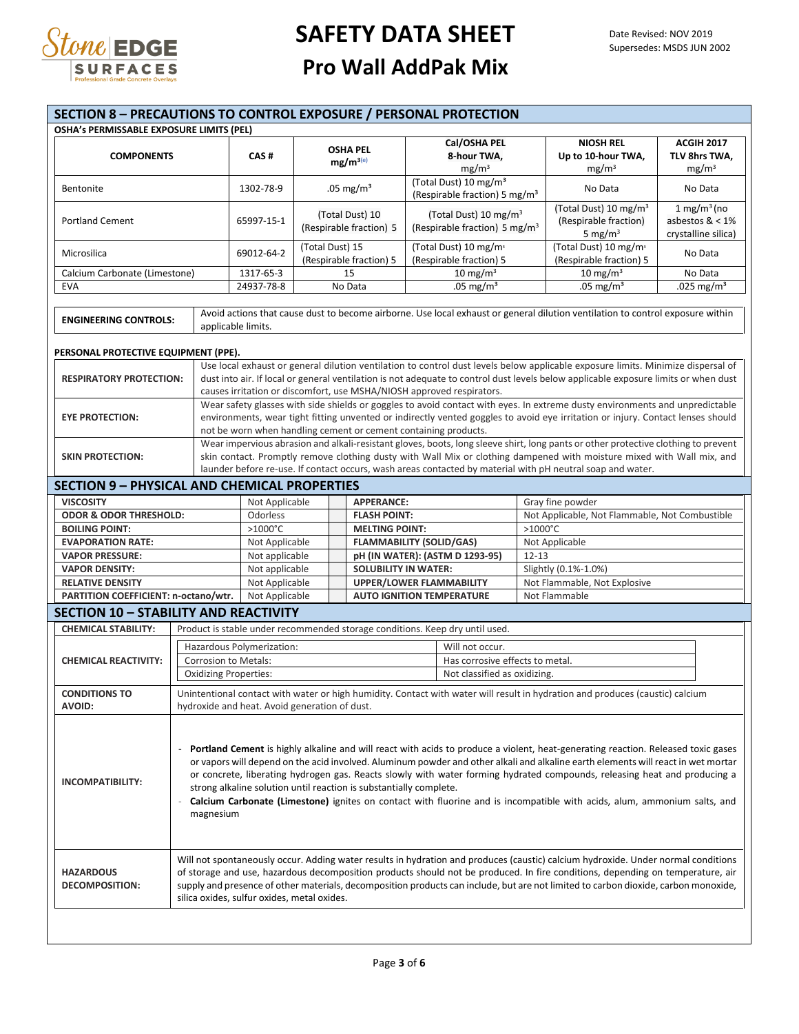

#### **SECTION 8 – PRECAUTIONS TO CONTROL EXPOSURE / PERSONAL PROTECTION OSHA's PERMISSABLE EXPOSURE LIMITS (PEL) COMPONENTS CAS # OSHA PEL mg/m3(e) Cal/OSHA PEL 8-hour TWA,**  $mg/m<sup>3</sup>$ **NIOSH REL Up to 10-hour TWA,**   $mg/m<sup>3</sup>$ **ACGIH 2017 TLV 8hrs TWA,**   $mg/m<sup>3</sup>$ Bentonite 1302-78-9 .05 mg/m<sup>3</sup> (Total Dust) 10 mg/m<sup>3</sup> (Respirable fraction) 5 mg/m<sup>3</sup> No Data  $\left($ Respirable fraction) 5 mg/m<sup>3</sup> Portland Cement 65997-15-1 (Total Dust) 10 (Respirable fraction) 5 (Total Dust) 10 mg/m<sup>3</sup> (Respirable fraction) 5 mg/m<sup>3</sup> (Total Dust) 10 mg/m<sup>3</sup> (Respirable fraction) 5 mg/ $m<sup>3</sup>$  $1 \text{ mg/m}^3$  (no asbestos & < 1% crystalline silica) Microsilica 69012-64-2 (Total Dust) 15 (Respirable fraction) 5 (Total Dust) 10 mg/m<sup>³</sup> (Respirable fraction) 5 (Total Dust) 10 mg/m<sup>³</sup> (Respirable fraction) 5 No Data Calcium Carbonate (Limestone)  $\begin{array}{|l|c|c|c|c|c|}\n\hline\n1317-65-3 & 15 & 10 \text{ mg/m}^3 & 10 \text{ mg/m}^3 & \text{No Data} \\
\hline\n\end{array}$  No Data  $\begin{array}{|l|c|c|c|c|}\n\hline\n10 \text{ mg/m}^3 & 10 \text{ mg/m}^3 & \text{No Data} \\
\hline\n24937-78-8 & \text{No Data} & 0.05 \text{ mg/m}^3 & 0.05 \text{ mg/m}^3$ EVA 24937-78-8 No Data .05 mg/m³ .05 mg/m³ .025 mg/m³ **ENGINEERING CONTROLS:** Avoid actions that cause dust to become airborne. Use local exhaust or general dilution ventilation to control exposure within applicable limits. **PERSONAL PROTECTIVE EQUIPMENT (PPE). RESPIRATORY PROTECTION:** Use local exhaust or general dilution ventilation to control dust levels below applicable exposure limits. Minimize dispersal of dust into air. If local or general ventilation is not adequate to control dust levels below applicable exposure limits or when dust causes irritation or discomfort, use MSHA/NIOSH approved respirators. **EYE PROTECTION:** Wear safety glasses with side shields or goggles to avoid contact with eyes. In extreme dusty environments and unpredictable environments, wear tight fitting unvented or indirectly vented goggles to avoid eye irritation or injury. Contact lenses should not be worn when handling cement or cement containing products. **SKIN PROTECTION:** Wear impervious abrasion and alkali-resistant gloves, boots, long sleeve shirt, long pants or other protective clothing to prevent skin contact. Promptly remove clothing dusty with Wall Mix or clothing dampened with moisture mixed with Wall mix, and launder before re-use. If contact occurs, wash areas contacted by material with pH neutral soap and water. **SECTION 9 – PHYSICAL AND CHEMICAL PROPERTIES VISCOSITY** Not Applicable **APPERANCE:** Gray fine powder<br> **CODOR & ODOR THRESHOLD:** Odorless **APPERANCE:** CODOR & ODOR THRESHOLD: Odorless **APPERANCE:** Not Applicable, N **Odorless <b>FLASH POINT: FLASH POINT:** Not Applicable, Not Flammable, Not Combustible **BOILING POINT:** >1000°C >1000°C >1000°C >1000°C >1000°C >1000°C >1000°C >1000°C + 1000°C + 1000°C + 1000°C + 1000°C + 1000°C + 1000°C + 1000°C + 1000°C + 1000°C + 1000°C + 1000°C + 1000°C + 1000°C + 1000°C + 1000°C + 1000 **EVAPORATION RATE:** Not Applicable **FLAMMABILITY (SOLID/GAS) VAPOR PRESSURE:** Not applicable **pH (IN WATER): (ASTM D 1293-95)** 12-13 **VAPOR DENSITY:** Not applicable **SOLUBILITY IN WATER:** Slightly (0.1%-1.0%)<br>
Not Applicable **UPPER/LOWER FLAMMABILITY** Not Flammable, Not **RELATIVE DENSITY** Not Applicable **UPPER/LOWER FLAMMABILITY** Not Flammable, Not Explosive<br> **PARTITION COEFFICIENT: n-octano/wtr.** Not Applicable **QUITION TEMPERATURE** Not Flammable **PARTITION COEFFICIENT: n-octano/wtr.** Not Applicable **AUTO IGNITION TEMPERATURE** Not Flammable **SECTION 10 – STABILITY AND REACTIVITY CHEMICAL STABILITY:** Product is stable under recommended storage conditions. Keep dry until used. **CHEMICAL REACTIVITY:** Hazardous Polymerization: Will not occur Corrosion to Metals: Has corrosive effects to metal. Oxidizing Properties:  $\qquad \qquad$  Not classified as oxidizing **CONDITIONS TO AVOID:** Unintentional contact with water or high humidity. Contact with water will result in hydration and produces (caustic) calcium hydroxide and heat. Avoid generation of dust. **INCOMPATIBILITY:** - **Portland Cement** is highly alkaline and will react with acids to produce a violent, heat-generating reaction. Released toxic gases or vapors will depend on the acid involved. Aluminum powder and other alkali and alkaline earth elements will react in wet mortar or concrete, liberating hydrogen gas. Reacts slowly with water forming hydrated compounds, releasing heat and producing a strong alkaline solution until reaction is substantially complete. - **Calcium Carbonate (Limestone)** ignites on contact with fluorine and is incompatible with acids, alum, ammonium salts, and magnesium **HAZARDOUS DECOMPOSITION:** Will not spontaneously occur. Adding water results in hydration and produces (caustic) calcium hydroxide. Under normal conditions of storage and use, hazardous decomposition products should not be produced. In fire conditions, depending on temperature, air supply and presence of other materials, decomposition products can include, but are not limited to carbon dioxide, carbon monoxide, silica oxides, sulfur oxides, metal oxides.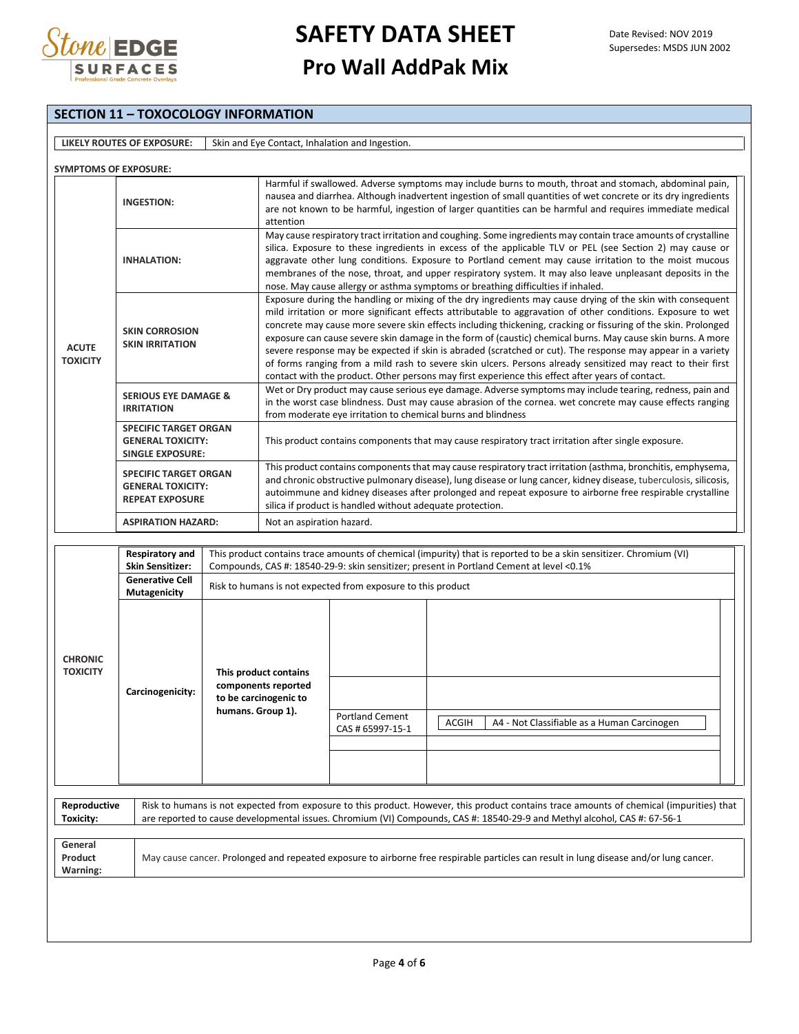

### **SECTION 11 – TOXOCOLOGY INFORMATION**

|                                                                                    | LIKELY ROUTES OF EXPOSURE:                                                                                                                  |                                                                                            |                                                                                                                                                                                                                                                                                                                                                                                                                                                                                                                                                                                                                                                                                                                                                                                                | Skin and Eye Contact, Inhalation and Ingestion.              |                                                                                          |                                                                                                                                                                                                                                                                       |  |  |
|------------------------------------------------------------------------------------|---------------------------------------------------------------------------------------------------------------------------------------------|--------------------------------------------------------------------------------------------|------------------------------------------------------------------------------------------------------------------------------------------------------------------------------------------------------------------------------------------------------------------------------------------------------------------------------------------------------------------------------------------------------------------------------------------------------------------------------------------------------------------------------------------------------------------------------------------------------------------------------------------------------------------------------------------------------------------------------------------------------------------------------------------------|--------------------------------------------------------------|------------------------------------------------------------------------------------------|-----------------------------------------------------------------------------------------------------------------------------------------------------------------------------------------------------------------------------------------------------------------------|--|--|
| <b>SYMPTOMS OF EXPOSURE:</b>                                                       |                                                                                                                                             |                                                                                            |                                                                                                                                                                                                                                                                                                                                                                                                                                                                                                                                                                                                                                                                                                                                                                                                |                                                              |                                                                                          |                                                                                                                                                                                                                                                                       |  |  |
|                                                                                    | <b>INGESTION:</b>                                                                                                                           |                                                                                            | Harmful if swallowed. Adverse symptoms may include burns to mouth, throat and stomach, abdominal pain,<br>nausea and diarrhea. Although inadvertent ingestion of small quantities of wet concrete or its dry ingredients<br>are not known to be harmful, ingestion of larger quantities can be harmful and requires immediate medical<br>attention                                                                                                                                                                                                                                                                                                                                                                                                                                             |                                                              |                                                                                          |                                                                                                                                                                                                                                                                       |  |  |
|                                                                                    | <b>INHALATION:</b>                                                                                                                          |                                                                                            | May cause respiratory tract irritation and coughing. Some ingredients may contain trace amounts of crystalline<br>silica. Exposure to these ingredients in excess of the applicable TLV or PEL (see Section 2) may cause or<br>aggravate other lung conditions. Exposure to Portland cement may cause irritation to the moist mucous<br>membranes of the nose, throat, and upper respiratory system. It may also leave unpleasant deposits in the<br>nose. May cause allergy or asthma symptoms or breathing difficulties if inhaled.                                                                                                                                                                                                                                                          |                                                              |                                                                                          |                                                                                                                                                                                                                                                                       |  |  |
| <b>SKIN CORROSION</b><br><b>SKIN IRRITATION</b><br><b>ACUTE</b><br><b>TOXICITY</b> |                                                                                                                                             |                                                                                            | Exposure during the handling or mixing of the dry ingredients may cause drying of the skin with consequent<br>mild irritation or more significant effects attributable to aggravation of other conditions. Exposure to wet<br>concrete may cause more severe skin effects including thickening, cracking or fissuring of the skin. Prolonged<br>exposure can cause severe skin damage in the form of (caustic) chemical burns. May cause skin burns. A more<br>severe response may be expected if skin is abraded (scratched or cut). The response may appear in a variety<br>of forms ranging from a mild rash to severe skin ulcers. Persons already sensitized may react to their first<br>contact with the product. Other persons may first experience this effect after years of contact. |                                                              |                                                                                          |                                                                                                                                                                                                                                                                       |  |  |
|                                                                                    | <b>SERIOUS EYE DAMAGE &amp;</b><br><b>IRRITATION</b><br><b>SPECIFIC TARGET ORGAN</b><br><b>GENERAL TOXICITY:</b><br><b>SINGLE EXPOSURE:</b> |                                                                                            | Wet or Dry product may cause serious eye damage. Adverse symptoms may include tearing, redness, pain and<br>in the worst case blindness. Dust may cause abrasion of the cornea. wet concrete may cause effects ranging<br>from moderate eye irritation to chemical burns and blindness                                                                                                                                                                                                                                                                                                                                                                                                                                                                                                         |                                                              |                                                                                          |                                                                                                                                                                                                                                                                       |  |  |
|                                                                                    |                                                                                                                                             |                                                                                            | This product contains components that may cause respiratory tract irritation after single exposure.                                                                                                                                                                                                                                                                                                                                                                                                                                                                                                                                                                                                                                                                                            |                                                              |                                                                                          |                                                                                                                                                                                                                                                                       |  |  |
|                                                                                    | <b>SPECIFIC TARGET ORGAN</b><br><b>GENERAL TOXICITY:</b><br><b>REPEAT EXPOSURE</b>                                                          |                                                                                            | This product contains components that may cause respiratory tract irritation (asthma, bronchitis, emphysema,<br>and chronic obstructive pulmonary disease), lung disease or lung cancer, kidney disease, tuberculosis, silicosis,<br>autoimmune and kidney diseases after prolonged and repeat exposure to airborne free respirable crystalline<br>silica if product is handled without adequate protection.                                                                                                                                                                                                                                                                                                                                                                                   |                                                              |                                                                                          |                                                                                                                                                                                                                                                                       |  |  |
|                                                                                    | <b>ASPIRATION HAZARD:</b>                                                                                                                   |                                                                                            | Not an aspiration hazard.                                                                                                                                                                                                                                                                                                                                                                                                                                                                                                                                                                                                                                                                                                                                                                      |                                                              |                                                                                          |                                                                                                                                                                                                                                                                       |  |  |
|                                                                                    | <b>Respiratory and</b><br><b>Skin Sensitizer:</b><br><b>Generative Cell</b>                                                                 |                                                                                            |                                                                                                                                                                                                                                                                                                                                                                                                                                                                                                                                                                                                                                                                                                                                                                                                |                                                              | Compounds, CAS #: 18540-29-9: skin sensitizer; present in Portland Cement at level <0.1% | This product contains trace amounts of chemical (impurity) that is reported to be a skin sensitizer. Chromium (VI)                                                                                                                                                    |  |  |
|                                                                                    | Mutagenicity                                                                                                                                |                                                                                            |                                                                                                                                                                                                                                                                                                                                                                                                                                                                                                                                                                                                                                                                                                                                                                                                | Risk to humans is not expected from exposure to this product |                                                                                          |                                                                                                                                                                                                                                                                       |  |  |
| <b>CHRONIC</b><br><b>TOXICITY</b>                                                  | Carcinogenicity:                                                                                                                            | This product contains<br>components reported<br>to be carcinogenic to<br>humans. Group 1). |                                                                                                                                                                                                                                                                                                                                                                                                                                                                                                                                                                                                                                                                                                                                                                                                | <b>Portland Cement</b><br>CAS # 65997-15-1                   |                                                                                          | ACGIH   A4 - Not Classifiable as a Human Carcinogen                                                                                                                                                                                                                   |  |  |
| Reproductive<br>Toxicity:                                                          |                                                                                                                                             |                                                                                            |                                                                                                                                                                                                                                                                                                                                                                                                                                                                                                                                                                                                                                                                                                                                                                                                |                                                              |                                                                                          | Risk to humans is not expected from exposure to this product. However, this product contains trace amounts of chemical (impurities) that<br>are reported to cause developmental issues. Chromium (VI) Compounds, CAS #: 18540-29-9 and Methyl alcohol, CAS #: 67-56-1 |  |  |
| General<br>Product<br>Warning:                                                     |                                                                                                                                             |                                                                                            |                                                                                                                                                                                                                                                                                                                                                                                                                                                                                                                                                                                                                                                                                                                                                                                                |                                                              |                                                                                          | May cause cancer. Prolonged and repeated exposure to airborne free respirable particles can result in lung disease and/or lung cancer.                                                                                                                                |  |  |
|                                                                                    |                                                                                                                                             |                                                                                            |                                                                                                                                                                                                                                                                                                                                                                                                                                                                                                                                                                                                                                                                                                                                                                                                |                                                              |                                                                                          |                                                                                                                                                                                                                                                                       |  |  |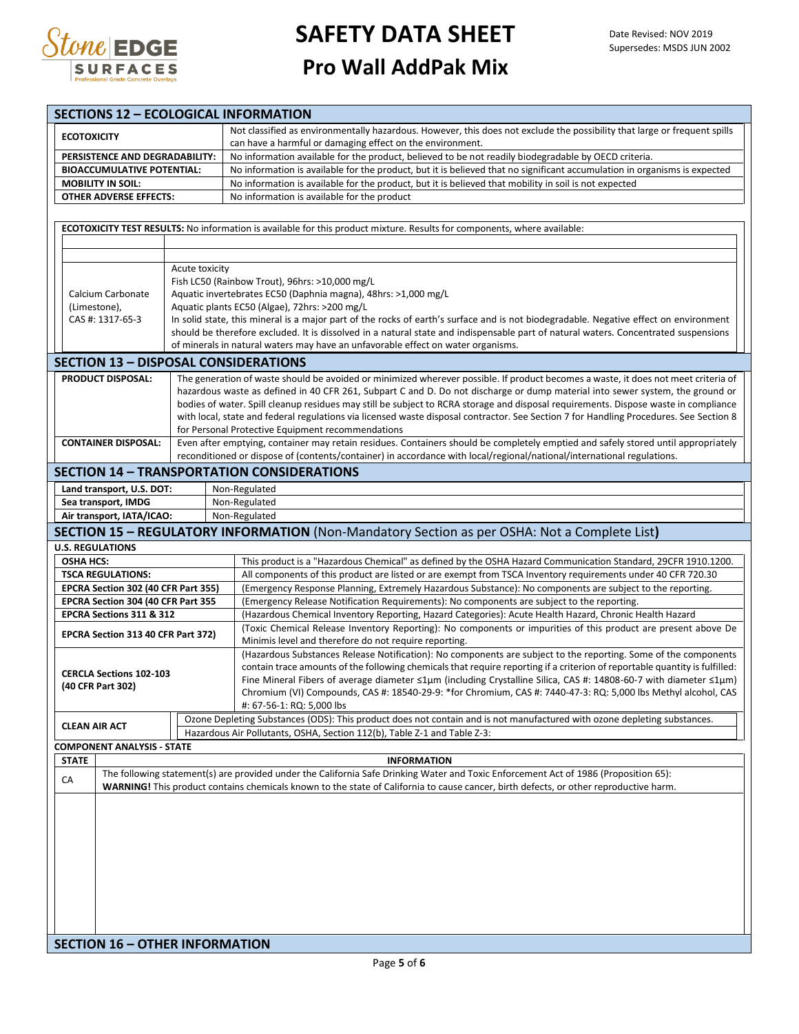

|                                   |                                                                                                                                                                                                                                                                                                  |  | <b>SECTIONS 12 - ECOLOGICAL INFORMATION</b>                                                                                                                                                                                         |  |  |
|-----------------------------------|--------------------------------------------------------------------------------------------------------------------------------------------------------------------------------------------------------------------------------------------------------------------------------------------------|--|-------------------------------------------------------------------------------------------------------------------------------------------------------------------------------------------------------------------------------------|--|--|
|                                   |                                                                                                                                                                                                                                                                                                  |  | Not classified as environmentally hazardous. However, this does not exclude the possibility that large or frequent spills                                                                                                           |  |  |
| <b>ECOTOXICITY</b>                |                                                                                                                                                                                                                                                                                                  |  | can have a harmful or damaging effect on the environment.                                                                                                                                                                           |  |  |
|                                   | PERSISTENCE AND DEGRADABILITY:                                                                                                                                                                                                                                                                   |  | No information available for the product, believed to be not readily biodegradable by OECD criteria.                                                                                                                                |  |  |
| <b>BIOACCUMULATIVE POTENTIAL:</b> |                                                                                                                                                                                                                                                                                                  |  | No information is available for the product, but it is believed that no significant accumulation in organisms is expected                                                                                                           |  |  |
| <b>MOBILITY IN SOIL:</b>          |                                                                                                                                                                                                                                                                                                  |  | No information is available for the product, but it is believed that mobility in soil is not expected                                                                                                                               |  |  |
| <b>OTHER ADVERSE EFFECTS:</b>     |                                                                                                                                                                                                                                                                                                  |  | No information is available for the product                                                                                                                                                                                         |  |  |
|                                   |                                                                                                                                                                                                                                                                                                  |  |                                                                                                                                                                                                                                     |  |  |
|                                   |                                                                                                                                                                                                                                                                                                  |  |                                                                                                                                                                                                                                     |  |  |
|                                   |                                                                                                                                                                                                                                                                                                  |  | ECOTOXICITY TEST RESULTS: No information is available for this product mixture. Results for components, where available:                                                                                                            |  |  |
|                                   |                                                                                                                                                                                                                                                                                                  |  |                                                                                                                                                                                                                                     |  |  |
|                                   |                                                                                                                                                                                                                                                                                                  |  |                                                                                                                                                                                                                                     |  |  |
|                                   | Acute toxicity<br>Fish LC50 (Rainbow Trout), 96hrs: >10,000 mg/L                                                                                                                                                                                                                                 |  |                                                                                                                                                                                                                                     |  |  |
|                                   | Aquatic invertebrates EC50 (Daphnia magna), 48hrs: >1,000 mg/L<br>Calcium Carbonate                                                                                                                                                                                                              |  |                                                                                                                                                                                                                                     |  |  |
|                                   | Aquatic plants EC50 (Algae), 72hrs: >200 mg/L<br>(Limestone),                                                                                                                                                                                                                                    |  |                                                                                                                                                                                                                                     |  |  |
|                                   |                                                                                                                                                                                                                                                                                                  |  |                                                                                                                                                                                                                                     |  |  |
|                                   | In solid state, this mineral is a major part of the rocks of earth's surface and is not biodegradable. Negative effect on environment<br>CAS #: 1317-65-3<br>should be therefore excluded. It is dissolved in a natural state and indispensable part of natural waters. Concentrated suspensions |  |                                                                                                                                                                                                                                     |  |  |
|                                   |                                                                                                                                                                                                                                                                                                  |  | of minerals in natural waters may have an unfavorable effect on water organisms.                                                                                                                                                    |  |  |
|                                   |                                                                                                                                                                                                                                                                                                  |  |                                                                                                                                                                                                                                     |  |  |
|                                   |                                                                                                                                                                                                                                                                                                  |  | <b>SECTION 13 - DISPOSAL CONSIDERATIONS</b>                                                                                                                                                                                         |  |  |
|                                   | <b>PRODUCT DISPOSAL:</b>                                                                                                                                                                                                                                                                         |  | The generation of waste should be avoided or minimized wherever possible. If product becomes a waste, it does not meet criteria of                                                                                                  |  |  |
|                                   |                                                                                                                                                                                                                                                                                                  |  | hazardous waste as defined in 40 CFR 261, Subpart C and D. Do not discharge or dump material into sewer system, the ground or                                                                                                       |  |  |
|                                   |                                                                                                                                                                                                                                                                                                  |  | bodies of water. Spill cleanup residues may still be subject to RCRA storage and disposal requirements. Dispose waste in compliance                                                                                                 |  |  |
|                                   |                                                                                                                                                                                                                                                                                                  |  | with local, state and federal regulations via licensed waste disposal contractor. See Section 7 for Handling Procedures. See Section 8                                                                                              |  |  |
|                                   |                                                                                                                                                                                                                                                                                                  |  | for Personal Protective Equipment recommendations                                                                                                                                                                                   |  |  |
|                                   | <b>CONTAINER DISPOSAL:</b>                                                                                                                                                                                                                                                                       |  | Even after emptying, container may retain residues. Containers should be completely emptied and safely stored until appropriately                                                                                                   |  |  |
|                                   |                                                                                                                                                                                                                                                                                                  |  | reconditioned or dispose of (contents/container) in accordance with local/regional/national/international regulations.                                                                                                              |  |  |
|                                   |                                                                                                                                                                                                                                                                                                  |  | <b>SECTION 14 - TRANSPORTATION CONSIDERATIONS</b>                                                                                                                                                                                   |  |  |
|                                   | Land transport, U.S. DOT:                                                                                                                                                                                                                                                                        |  | Non-Regulated                                                                                                                                                                                                                       |  |  |
|                                   | Sea transport, IMDG                                                                                                                                                                                                                                                                              |  | Non-Regulated                                                                                                                                                                                                                       |  |  |
|                                   | Air transport, IATA/ICAO:                                                                                                                                                                                                                                                                        |  | Non-Regulated                                                                                                                                                                                                                       |  |  |
|                                   |                                                                                                                                                                                                                                                                                                  |  | <b>SECTION 15 - REGULATORY INFORMATION</b> (Non-Mandatory Section as per OSHA: Not a Complete List)                                                                                                                                 |  |  |
| <b>U.S. REGULATIONS</b>           |                                                                                                                                                                                                                                                                                                  |  |                                                                                                                                                                                                                                     |  |  |
| <b>OSHA HCS:</b>                  |                                                                                                                                                                                                                                                                                                  |  |                                                                                                                                                                                                                                     |  |  |
|                                   |                                                                                                                                                                                                                                                                                                  |  |                                                                                                                                                                                                                                     |  |  |
|                                   |                                                                                                                                                                                                                                                                                                  |  | This product is a "Hazardous Chemical" as defined by the OSHA Hazard Communication Standard, 29CFR 1910.1200.                                                                                                                       |  |  |
|                                   | <b>TSCA REGULATIONS:</b>                                                                                                                                                                                                                                                                         |  | All components of this product are listed or are exempt from TSCA Inventory requirements under 40 CFR 720.30                                                                                                                        |  |  |
|                                   | EPCRA Section 302 (40 CFR Part 355)                                                                                                                                                                                                                                                              |  | (Emergency Response Planning, Extremely Hazardous Substance): No components are subject to the reporting.                                                                                                                           |  |  |
|                                   | EPCRA Section 304 (40 CFR Part 355                                                                                                                                                                                                                                                               |  | (Emergency Release Notification Requirements): No components are subject to the reporting.                                                                                                                                          |  |  |
|                                   | EPCRA Sections 311 & 312                                                                                                                                                                                                                                                                         |  | (Hazardous Chemical Inventory Reporting, Hazard Categories): Acute Health Hazard, Chronic Health Hazard                                                                                                                             |  |  |
|                                   | EPCRA Section 313 40 CFR Part 372)                                                                                                                                                                                                                                                               |  | (Toxic Chemical Release Inventory Reporting): No components or impurities of this product are present above De                                                                                                                      |  |  |
|                                   |                                                                                                                                                                                                                                                                                                  |  | Minimis level and therefore do not require reporting.                                                                                                                                                                               |  |  |
|                                   |                                                                                                                                                                                                                                                                                                  |  | (Hazardous Substances Release Notification): No components are subject to the reporting. Some of the components                                                                                                                     |  |  |
|                                   | <b>CERCLA Sections 102-103</b>                                                                                                                                                                                                                                                                   |  | contain trace amounts of the following chemicals that require reporting if a criterion of reportable quantity is fulfilled:                                                                                                         |  |  |
|                                   | (40 CFR Part 302)                                                                                                                                                                                                                                                                                |  | Fine Mineral Fibers of average diameter ≤1µm (including Crystalline Silica, CAS #: 14808-60-7 with diameter ≤1µm)<br>Chromium (VI) Compounds, CAS #: 18540-29-9: *for Chromium, CAS #: 7440-47-3: RQ: 5,000 lbs Methyl alcohol, CAS |  |  |
|                                   |                                                                                                                                                                                                                                                                                                  |  | #: 67-56-1: RQ: 5,000 lbs                                                                                                                                                                                                           |  |  |
|                                   |                                                                                                                                                                                                                                                                                                  |  |                                                                                                                                                                                                                                     |  |  |
| <b>CLEAN AIR ACT</b>              |                                                                                                                                                                                                                                                                                                  |  | Ozone Depleting Substances (ODS): This product does not contain and is not manufactured with ozone depleting substances.<br>Hazardous Air Pollutants, OSHA, Section 112(b), Table Z-1 and Table Z-3:                                |  |  |
|                                   | <b>COMPONENT ANALYSIS - STATE</b>                                                                                                                                                                                                                                                                |  |                                                                                                                                                                                                                                     |  |  |
| <b>STATE</b>                      |                                                                                                                                                                                                                                                                                                  |  | <b>INFORMATION</b>                                                                                                                                                                                                                  |  |  |
|                                   |                                                                                                                                                                                                                                                                                                  |  | The following statement(s) are provided under the California Safe Drinking Water and Toxic Enforcement Act of 1986 (Proposition 65):                                                                                                |  |  |
| CA                                |                                                                                                                                                                                                                                                                                                  |  | WARNING! This product contains chemicals known to the state of California to cause cancer, birth defects, or other reproductive harm.                                                                                               |  |  |
|                                   |                                                                                                                                                                                                                                                                                                  |  |                                                                                                                                                                                                                                     |  |  |
|                                   |                                                                                                                                                                                                                                                                                                  |  |                                                                                                                                                                                                                                     |  |  |
|                                   |                                                                                                                                                                                                                                                                                                  |  |                                                                                                                                                                                                                                     |  |  |
|                                   |                                                                                                                                                                                                                                                                                                  |  |                                                                                                                                                                                                                                     |  |  |
|                                   |                                                                                                                                                                                                                                                                                                  |  |                                                                                                                                                                                                                                     |  |  |
|                                   |                                                                                                                                                                                                                                                                                                  |  |                                                                                                                                                                                                                                     |  |  |
|                                   |                                                                                                                                                                                                                                                                                                  |  |                                                                                                                                                                                                                                     |  |  |
|                                   |                                                                                                                                                                                                                                                                                                  |  |                                                                                                                                                                                                                                     |  |  |
|                                   |                                                                                                                                                                                                                                                                                                  |  |                                                                                                                                                                                                                                     |  |  |
|                                   |                                                                                                                                                                                                                                                                                                  |  |                                                                                                                                                                                                                                     |  |  |
|                                   | <b>SECTION 16 - OTHER INFORMATION</b>                                                                                                                                                                                                                                                            |  |                                                                                                                                                                                                                                     |  |  |